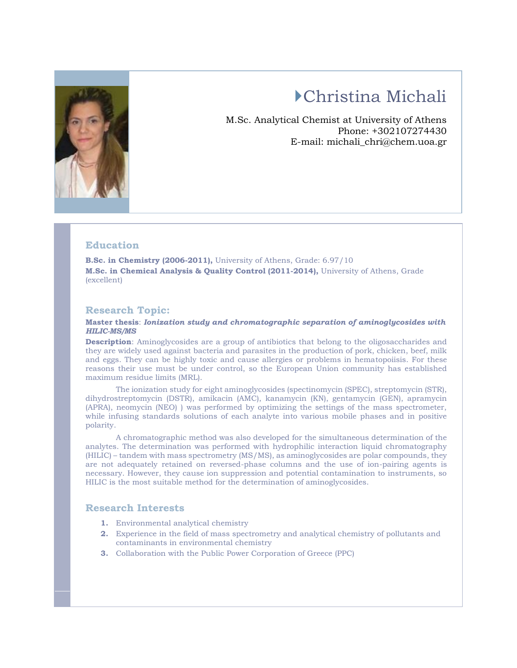

# Christina Michali

M.Sc. Analytical Chemist at University of Athens Phone: +302107274430 E-mail: michali\_chri@chem.uoa.gr

### **Education**

**B.Sc. in Chemistry (2006-2011),** University of Athens, Grade: 6.97/10 **M.Sc. in Chemical Analysis & Quality Control (2011-2014),** University of Athens, Grade (excellent)

#### **Research Topic:**

#### **Master thesis**: *Ionization study and chromatographic separation of aminoglycosides with HILIC-MS/MS*

**Description**: Aminoglycosides are a group of antibiotics that belong to the oligosaccharides and they are widely used against bacteria and parasites in the production of pork, chicken, beef, milk and eggs. They can be highly toxic and cause allergies or problems in hematopoiisis. For these reasons their use must be under control, so the European Union community has established maximum residue limits (MRL).

The ionization study for eight aminoglycosides (spectinomycin (SPEC), streptomycin (STR), dihydrostreptomycin (DSTR), amikacin (AMC), kanamycin (KN), gentamycin (GEN), apramycin (APRA), neomycin (NEO) ) was performed by optimizing the settings of the mass spectrometer, while infusing standards solutions of each analyte into various mobile phases and in positive polarity.

A chromatographic method was also developed for the simultaneous determination of the analytes. The determination was performed with hydrophilic interaction liquid chromatography (HILIC) – tandem with mass spectrometry (MS/MS), as aminoglycosides are polar compounds, they are not adequately retained on reversed-phase columns and the use of ion-pairing agents is necessary. However, they cause ion suppression and potential contamination to instruments, so HILIC is the most suitable method for the determination of aminoglycosides.

#### **Research Interests**

- **1.** Environmental analytical chemistry
- **2.** Experience in the field of mass spectrometry and analytical chemistry of pollutants and contaminants in environmental chemistry
- **3.** Collaboration with the Public Power Corporation of Greece (PPC)